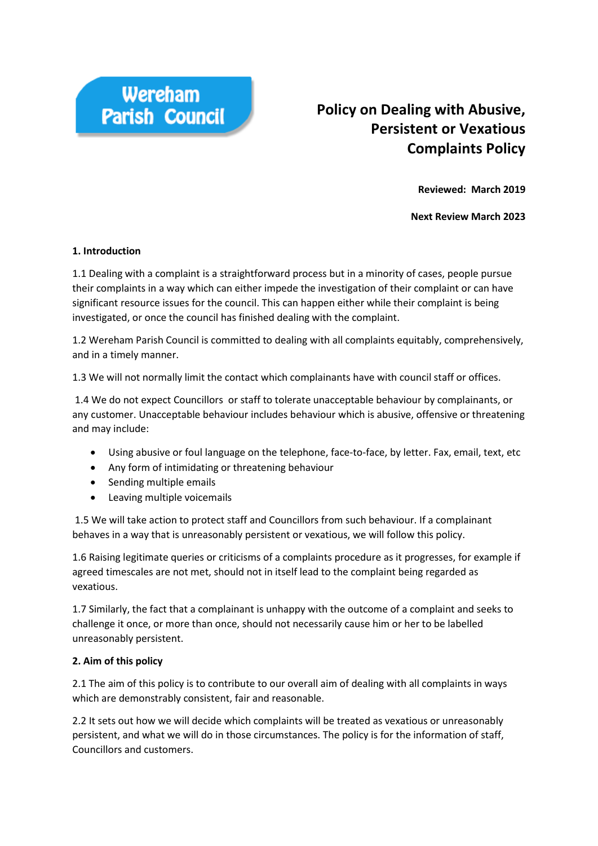

# **Policy on Dealing with Abusive, Persistent or Vexatious Complaints Policy**

**Reviewed: March 2019**

**Next Review March 2023**

#### **1. Introduction**

1.1 Dealing with a complaint is a straightforward process but in a minority of cases, people pursue their complaints in a way which can either impede the investigation of their complaint or can have significant resource issues for the council. This can happen either while their complaint is being investigated, or once the council has finished dealing with the complaint.

1.2 Wereham Parish Council is committed to dealing with all complaints equitably, comprehensively, and in a timely manner.

1.3 We will not normally limit the contact which complainants have with council staff or offices.

1.4 We do not expect Councillors or staff to tolerate unacceptable behaviour by complainants, or any customer. Unacceptable behaviour includes behaviour which is abusive, offensive or threatening and may include:

- Using abusive or foul language on the telephone, face-to-face, by letter. Fax, email, text, etc
- Any form of intimidating or threatening behaviour
- Sending multiple emails
- Leaving multiple voicemails

1.5 We will take action to protect staff and Councillors from such behaviour. If a complainant behaves in a way that is unreasonably persistent or vexatious, we will follow this policy.

1.6 Raising legitimate queries or criticisms of a complaints procedure as it progresses, for example if agreed timescales are not met, should not in itself lead to the complaint being regarded as vexatious.

1.7 Similarly, the fact that a complainant is unhappy with the outcome of a complaint and seeks to challenge it once, or more than once, should not necessarily cause him or her to be labelled unreasonably persistent.

#### **2. Aim of this policy**

2.1 The aim of this policy is to contribute to our overall aim of dealing with all complaints in ways which are demonstrably consistent, fair and reasonable.

2.2 It sets out how we will decide which complaints will be treated as vexatious or unreasonably persistent, and what we will do in those circumstances. The policy is for the information of staff, Councillors and customers.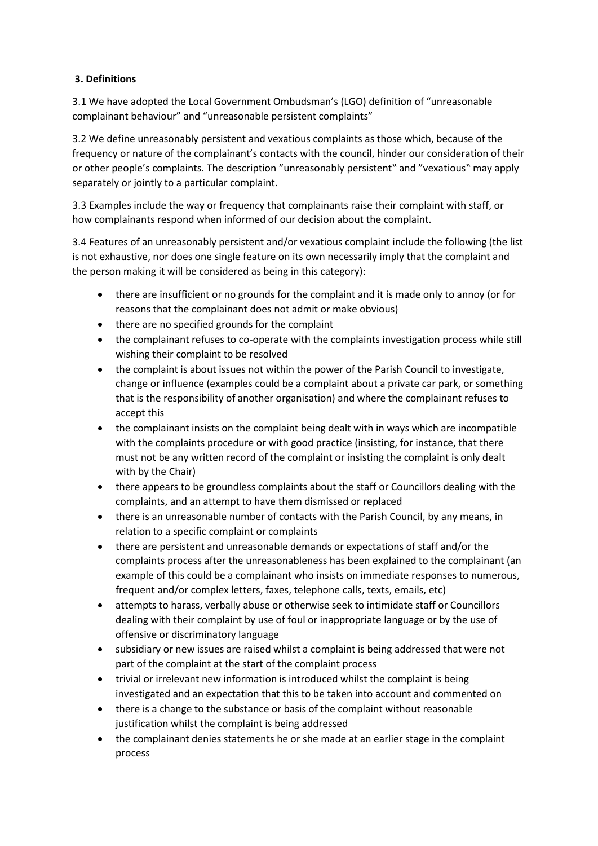### **3. Definitions**

3.1 We have adopted the Local Government Ombudsman's (LGO) definition of "unreasonable complainant behaviour" and "unreasonable persistent complaints"

3.2 We define unreasonably persistent and vexatious complaints as those which, because of the frequency or nature of the complainant's contacts with the council, hinder our consideration of their or other people's complaints. The description "unreasonably persistent" and "vexatious" may apply separately or jointly to a particular complaint.

3.3 Examples include the way or frequency that complainants raise their complaint with staff, or how complainants respond when informed of our decision about the complaint.

3.4 Features of an unreasonably persistent and/or vexatious complaint include the following (the list is not exhaustive, nor does one single feature on its own necessarily imply that the complaint and the person making it will be considered as being in this category):

- there are insufficient or no grounds for the complaint and it is made only to annoy (or for reasons that the complainant does not admit or make obvious)
- there are no specified grounds for the complaint
- the complainant refuses to co-operate with the complaints investigation process while still wishing their complaint to be resolved
- the complaint is about issues not within the power of the Parish Council to investigate, change or influence (examples could be a complaint about a private car park, or something that is the responsibility of another organisation) and where the complainant refuses to accept this
- the complainant insists on the complaint being dealt with in ways which are incompatible with the complaints procedure or with good practice (insisting, for instance, that there must not be any written record of the complaint or insisting the complaint is only dealt with by the Chair)
- there appears to be groundless complaints about the staff or Councillors dealing with the complaints, and an attempt to have them dismissed or replaced
- there is an unreasonable number of contacts with the Parish Council, by any means, in relation to a specific complaint or complaints
- there are persistent and unreasonable demands or expectations of staff and/or the complaints process after the unreasonableness has been explained to the complainant (an example of this could be a complainant who insists on immediate responses to numerous, frequent and/or complex letters, faxes, telephone calls, texts, emails, etc)
- attempts to harass, verbally abuse or otherwise seek to intimidate staff or Councillors dealing with their complaint by use of foul or inappropriate language or by the use of offensive or discriminatory language
- subsidiary or new issues are raised whilst a complaint is being addressed that were not part of the complaint at the start of the complaint process
- trivial or irrelevant new information is introduced whilst the complaint is being investigated and an expectation that this to be taken into account and commented on
- there is a change to the substance or basis of the complaint without reasonable justification whilst the complaint is being addressed
- the complainant denies statements he or she made at an earlier stage in the complaint process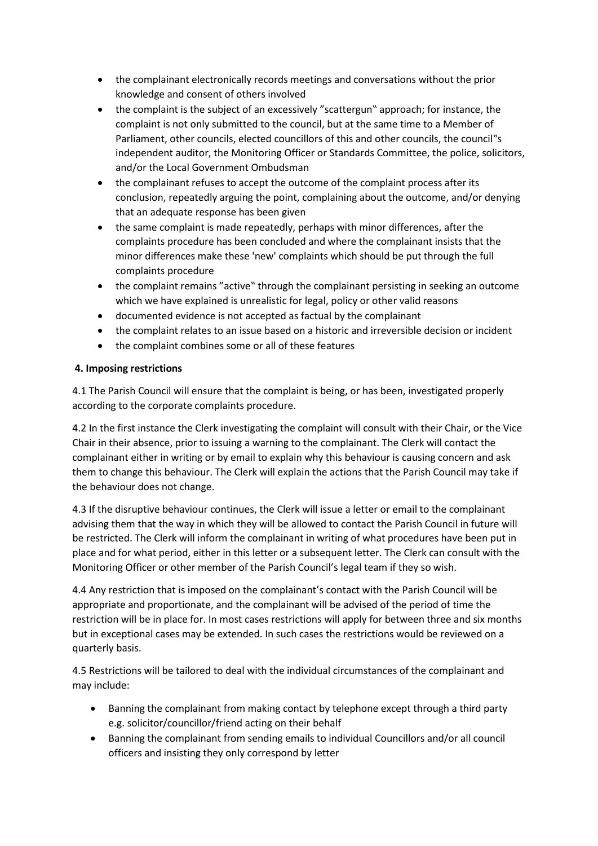- the complainant electronically records meetings and conversations without the prior knowledge and consent of others involved
- the complaint is the subject of an excessively "scattergun" approach; for instance, the complaint is not only submitted to the council, but at the same time to a Member of Parliament, other councils, elected councillors of this and other councils, the council"s independent auditor, the Monitoring Officer or Standards Committee, the police, solicitors, and/or the Local Government Ombudsman
- the complainant refuses to accept the outcome of the complaint process after its conclusion, repeatedly arguing the point, complaining about the outcome, and/or denying that an adequate response has been given
- the same complaint is made repeatedly, perhaps with minor differences, after the complaints procedure has been concluded and where the complainant insists that the minor differences make these 'new' complaints which should be put through the full complaints procedure
- the complaint remains "active" through the complainant persisting in seeking an outcome which we have explained is unrealistic for legal, policy or other valid reasons
- documented evidence is not accepted as factual by the complainant
- the complaint relates to an issue based on a historic and irreversible decision or incident
- the complaint combines some or all of these features

## **4. Imposing restrictions**

4.1 The Parish Council will ensure that the complaint is being, or has been, investigated properly according to the corporate complaints procedure.

4.2 In the first instance the Clerk investigating the complaint will consult with their Chair, or the Vice Chair in their absence, prior to issuing a warning to the complainant. The Clerk will contact the complainant either in writing or by email to explain why this behaviour is causing concern and ask them to change this behaviour. The Clerk will explain the actions that the Parish Council may take if the behaviour does not change.

4.3 If the disruptive behaviour continues, the Clerk will issue a letter or email to the complainant advising them that the way in which they will be allowed to contact the Parish Council in future will be restricted. The Clerk will inform the complainant in writing of what procedures have been put in place and for what period, either in this letter or a subsequent letter. The Clerk can consult with the Monitoring Officer or other member of the Parish Council's legal team if they so wish.

4.4 Any restriction that is imposed on the complainant's contact with the Parish Council will be appropriate and proportionate, and the complainant will be advised of the period of time the restriction will be in place for. In most cases restrictions will apply for between three and six months but in exceptional cases may be extended. In such cases the restrictions would be reviewed on a quarterly basis.

4.5 Restrictions will be tailored to deal with the individual circumstances of the complainant and may include:

- Banning the complainant from making contact by telephone except through a third party e.g. solicitor/councillor/friend acting on their behalf
- Banning the complainant from sending emails to individual Councillors and/or all council officers and insisting they only correspond by letter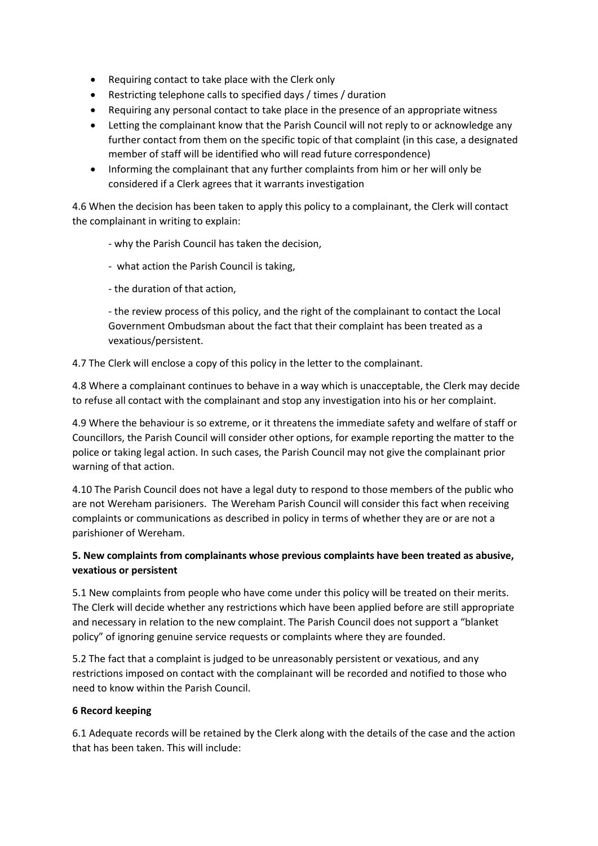- Requiring contact to take place with the Clerk only
- Restricting telephone calls to specified days / times / duration
- Requiring any personal contact to take place in the presence of an appropriate witness
- Letting the complainant know that the Parish Council will not reply to or acknowledge any further contact from them on the specific topic of that complaint (in this case, a designated member of staff will be identified who will read future correspondence)
- Informing the complainant that any further complaints from him or her will only be considered if a Clerk agrees that it warrants investigation

4.6 When the decision has been taken to apply this policy to a complainant, the Clerk will contact the complainant in writing to explain:

- why the Parish Council has taken the decision,
- what action the Parish Council is taking,
- the duration of that action,

- the review process of this policy, and the right of the complainant to contact the Local Government Ombudsman about the fact that their complaint has been treated as a vexatious/persistent.

4.7 The Clerk will enclose a copy of this policy in the letter to the complainant.

4.8 Where a complainant continues to behave in a way which is unacceptable, the Clerk may decide to refuse all contact with the complainant and stop any investigation into his or her complaint.

4.9 Where the behaviour is so extreme, or it threatens the immediate safety and welfare of staff or Councillors, the Parish Council will consider other options, for example reporting the matter to the police or taking legal action. In such cases, the Parish Council may not give the complainant prior warning of that action.

4.10 The Parish Council does not have a legal duty to respond to those members of the public who are not Wereham parisioners. The Wereham Parish Council will consider this fact when receiving complaints or communications as described in policy in terms of whether they are or are not a parishioner of Wereham.

## **5. New complaints from complainants whose previous complaints have been treated as abusive, vexatious or persistent**

5.1 New complaints from people who have come under this policy will be treated on their merits. The Clerk will decide whether any restrictions which have been applied before are still appropriate and necessary in relation to the new complaint. The Parish Council does not support a "blanket policy" of ignoring genuine service requests or complaints where they are founded.

5.2 The fact that a complaint is judged to be unreasonably persistent or vexatious, and any restrictions imposed on contact with the complainant will be recorded and notified to those who need to know within the Parish Council.

#### **6 Record keeping**

6.1 Adequate records will be retained by the Clerk along with the details of the case and the action that has been taken. This will include: